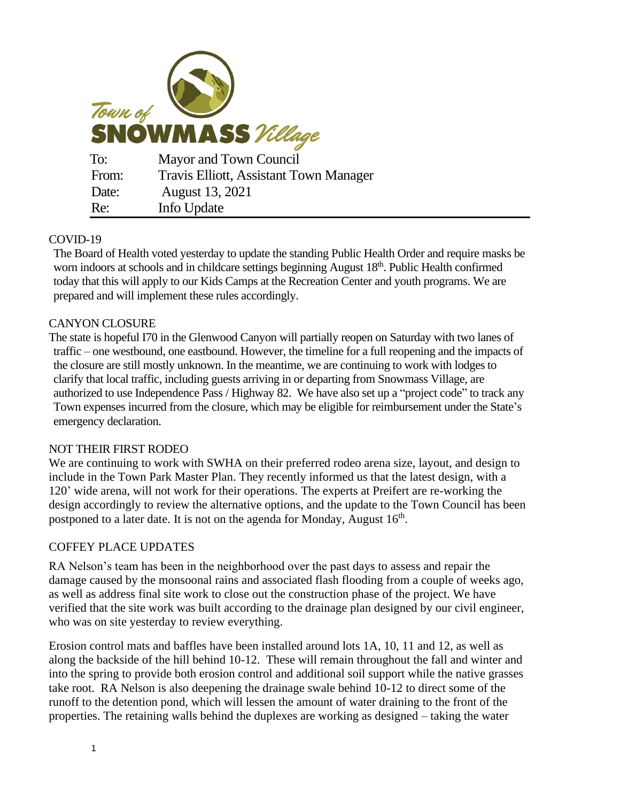

# COVID-19

The Board of Health voted yesterday to update the standing Public Health Order and require masks be worn indoors at schools and in childcare settings beginning August 18<sup>th</sup>. Public Health confirmed today that this will apply to our Kids Camps at the Recreation Center and youth programs. We are prepared and will implement these rules accordingly.

## CANYON CLOSURE

The state is hopeful I70 in the Glenwood Canyon will partially reopen on Saturday with two lanes of traffic – one westbound, one eastbound. However, the timeline for a full reopening and the impacts of the closure are still mostly unknown. In the meantime, we are continuing to work with lodges to clarify that local traffic, including guests arriving in or departing from Snowmass Village, are authorized to use Independence Pass / Highway 82. We have also set up a "project code" to track any Town expenses incurred from the closure, which may be eligible for reimbursement under the State's emergency declaration.

## NOT THEIR FIRST RODEO

We are continuing to work with SWHA on their preferred rodeo arena size, layout, and design to include in the Town Park Master Plan. They recently informed us that the latest design, with a 120' wide arena, will not work for their operations. The experts at Preifert are re-working the design accordingly to review the alternative options, and the update to the Town Council has been postponed to a later date. It is not on the agenda for Monday, August  $16<sup>th</sup>$ .

## COFFEY PLACE UPDATES

RA Nelson's team has been in the neighborhood over the past days to assess and repair the damage caused by the monsoonal rains and associated flash flooding from a couple of weeks ago, as well as address final site work to close out the construction phase of the project. We have verified that the site work was built according to the drainage plan designed by our civil engineer, who was on site yesterday to review everything.

Erosion control mats and baffles have been installed around lots 1A, 10, 11 and 12, as well as along the backside of the hill behind 10-12. These will remain throughout the fall and winter and into the spring to provide both erosion control and additional soil support while the native grasses take root. RA Nelson is also deepening the drainage swale behind 10-12 to direct some of the runoff to the detention pond, which will lessen the amount of water draining to the front of the properties. The retaining walls behind the duplexes are working as designed – taking the water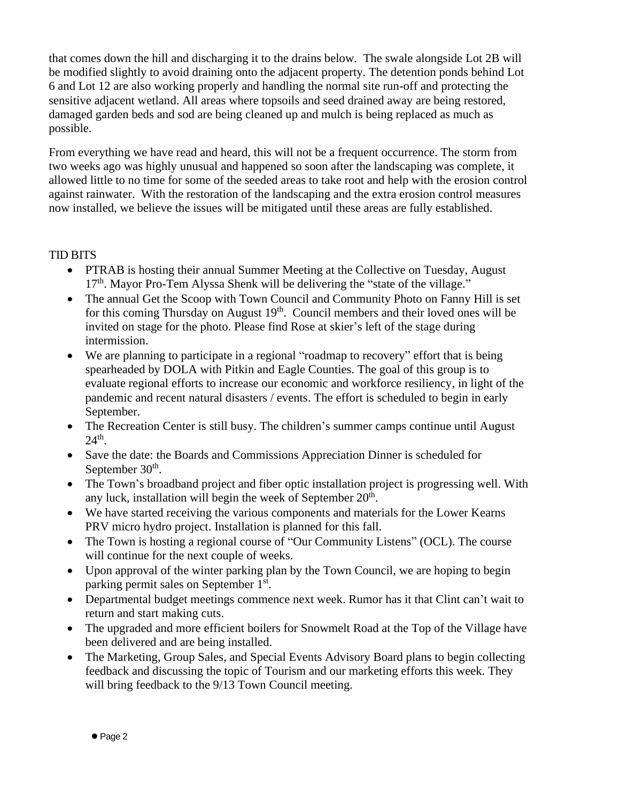that comes down the hill and discharging it to the drains below. The swale alongside Lot 2B will be modified slightly to avoid draining onto the adjacent property. The detention ponds behind Lot 6 and Lot 12 are also working properly and handling the normal site run-off and protecting the sensitive adjacent wetland. All areas where topsoils and seed drained away are being restored, damaged garden beds and sod are being cleaned up and mulch is being replaced as much as possible.

From everything we have read and heard, this will not be a frequent occurrence. The storm from two weeks ago was highly unusual and happened so soon after the landscaping was complete, it allowed little to no time for some of the seeded areas to take root and help with the erosion control against rainwater. With the restoration of the landscaping and the extra erosion control measures now installed, we believe the issues will be mitigated until these areas are fully established.

### TID BITS

- PTRAB is hosting their annual Summer Meeting at the Collective on Tuesday, August 17<sup>th</sup>. Mayor Pro-Tem Alyssa Shenk will be delivering the "state of the village."
- The annual Get the Scoop with Town Council and Community Photo on Fanny Hill is set for this coming Thursday on August 19<sup>th</sup>. Council members and their loved ones will be invited on stage for the photo. Please find Rose at skier's left of the stage during intermission.
- We are planning to participate in a regional "roadmap to recovery" effort that is being spearheaded by DOLA with Pitkin and Eagle Counties. The goal of this group is to evaluate regional efforts to increase our economic and workforce resiliency, in light of the pandemic and recent natural disasters / events. The effort is scheduled to begin in early September.
- The Recreation Center is still busy. The children's summer camps continue until August  $24^{\text{th}}$ .
- Save the date: the Boards and Commissions Appreciation Dinner is scheduled for September  $30<sup>th</sup>$ .
- The Town's broadband project and fiber optic installation project is progressing well. With any luck, installation will begin the week of September  $20<sup>th</sup>$ .
- We have started receiving the various components and materials for the Lower Kearns PRV micro hydro project. Installation is planned for this fall.
- The Town is hosting a regional course of "Our Community Listens" (OCL). The course will continue for the next couple of weeks.
- Upon approval of the winter parking plan by the Town Council, we are hoping to begin parking permit sales on September 1<sup>st</sup>.
- Departmental budget meetings commence next week. Rumor has it that Clint can't wait to return and start making cuts.
- The upgraded and more efficient boilers for Snowmelt Road at the Top of the Village have been delivered and are being installed.
- The Marketing, Group Sales, and Special Events Advisory Board plans to begin collecting feedback and discussing the topic of Tourism and our marketing efforts this week. They will bring feedback to the 9/13 Town Council meeting.